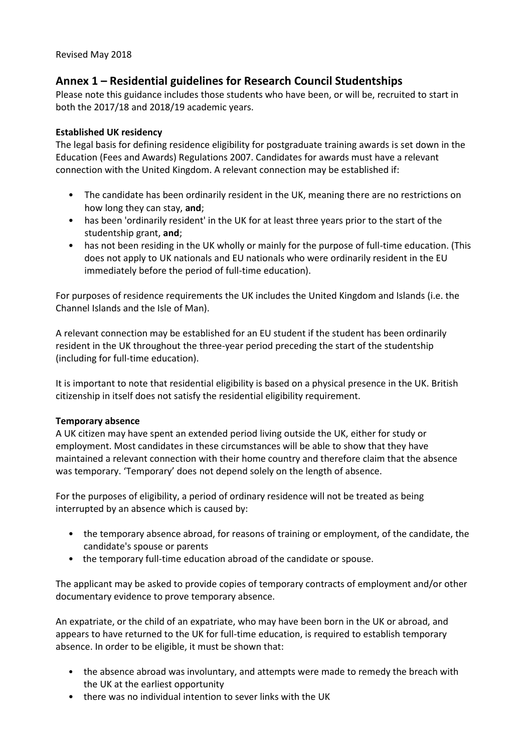# **Annex 1 – Residential guidelines for Research Council Studentships**

Please note this guidance includes those students who have been, or will be, recruited to start in both the 2017/18 and 2018/19 academic years.

### **Established UK residency**

The legal basis for defining residence eligibility for postgraduate training awards is set down in the Education (Fees and Awards) Regulations 2007. Candidates for awards must have a relevant connection with the United Kingdom. A relevant connection may be established if:

- The candidate has been ordinarily resident in the UK, meaning there are no restrictions on how long they can stay, **and**;
- has been 'ordinarily resident' in the UK for at least three years prior to the start of the studentship grant, **and**;
- has not been residing in the UK wholly or mainly for the purpose of full-time education. (This does not apply to UK nationals and EU nationals who were ordinarily resident in the EU immediately before the period of full-time education).

For purposes of residence requirements the UK includes the United Kingdom and Islands (i.e. the Channel Islands and the Isle of Man).

A relevant connection may be established for an EU student if the student has been ordinarily resident in the UK throughout the three-year period preceding the start of the studentship (including for full-time education).

It is important to note that residential eligibility is based on a physical presence in the UK. British citizenship in itself does not satisfy the residential eligibility requirement.

#### **Temporary absence**

A UK citizen may have spent an extended period living outside the UK, either for study or employment. Most candidates in these circumstances will be able to show that they have maintained a relevant connection with their home country and therefore claim that the absence was temporary. 'Temporary' does not depend solely on the length of absence.

For the purposes of eligibility, a period of ordinary residence will not be treated as being interrupted by an absence which is caused by:

- the temporary absence abroad, for reasons of training or employment, of the candidate, the candidate's spouse or parents
- the temporary full-time education abroad of the candidate or spouse.

The applicant may be asked to provide copies of temporary contracts of employment and/or other documentary evidence to prove temporary absence.

An expatriate, or the child of an expatriate, who may have been born in the UK or abroad, and appears to have returned to the UK for full-time education, is required to establish temporary absence. In order to be eligible, it must be shown that:

- the absence abroad was involuntary, and attempts were made to remedy the breach with the UK at the earliest opportunity
- there was no individual intention to sever links with the UK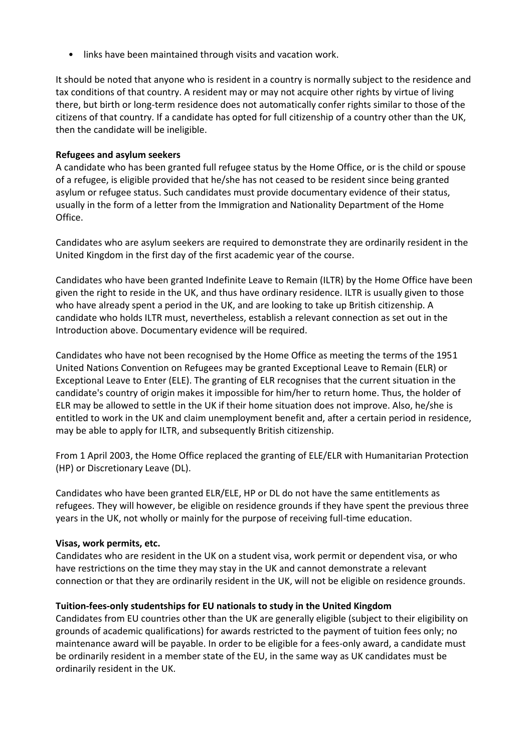• links have been maintained through visits and vacation work.

It should be noted that anyone who is resident in a country is normally subject to the residence and tax conditions of that country. A resident may or may not acquire other rights by virtue of living there, but birth or long-term residence does not automatically confer rights similar to those of the citizens of that country. If a candidate has opted for full citizenship of a country other than the UK, then the candidate will be ineligible.

### **Refugees and asylum seekers**

A candidate who has been granted full refugee status by the Home Office, or is the child or spouse of a refugee, is eligible provided that he/she has not ceased to be resident since being granted asylum or refugee status. Such candidates must provide documentary evidence of their status, usually in the form of a letter from the Immigration and Nationality Department of the Home Office.

Candidates who are asylum seekers are required to demonstrate they are ordinarily resident in the United Kingdom in the first day of the first academic year of the course.

Candidates who have been granted Indefinite Leave to Remain (ILTR) by the Home Office have been given the right to reside in the UK, and thus have ordinary residence. ILTR is usually given to those who have already spent a period in the UK, and are looking to take up British citizenship. A candidate who holds ILTR must, nevertheless, establish a relevant connection as set out in the Introduction above. Documentary evidence will be required.

Candidates who have not been recognised by the Home Office as meeting the terms of the 1951 United Nations Convention on Refugees may be granted Exceptional Leave to Remain (ELR) or Exceptional Leave to Enter (ELE). The granting of ELR recognises that the current situation in the candidate's country of origin makes it impossible for him/her to return home. Thus, the holder of ELR may be allowed to settle in the UK if their home situation does not improve. Also, he/she is entitled to work in the UK and claim unemployment benefit and, after a certain period in residence, may be able to apply for ILTR, and subsequently British citizenship.

From 1 April 2003, the Home Office replaced the granting of ELE/ELR with Humanitarian Protection (HP) or Discretionary Leave (DL).

Candidates who have been granted ELR/ELE, HP or DL do not have the same entitlements as refugees. They will however, be eligible on residence grounds if they have spent the previous three years in the UK, not wholly or mainly for the purpose of receiving full-time education.

#### **Visas, work permits, etc.**

Candidates who are resident in the UK on a student visa, work permit or dependent visa, or who have restrictions on the time they may stay in the UK and cannot demonstrate a relevant connection or that they are ordinarily resident in the UK, will not be eligible on residence grounds.

#### **Tuition-fees-only studentships for EU nationals to study in the United Kingdom**

Candidates from EU countries other than the UK are generally eligible (subject to their eligibility on grounds of academic qualifications) for awards restricted to the payment of tuition fees only; no maintenance award will be payable. In order to be eligible for a fees-only award, a candidate must be ordinarily resident in a member state of the EU, in the same way as UK candidates must be ordinarily resident in the UK.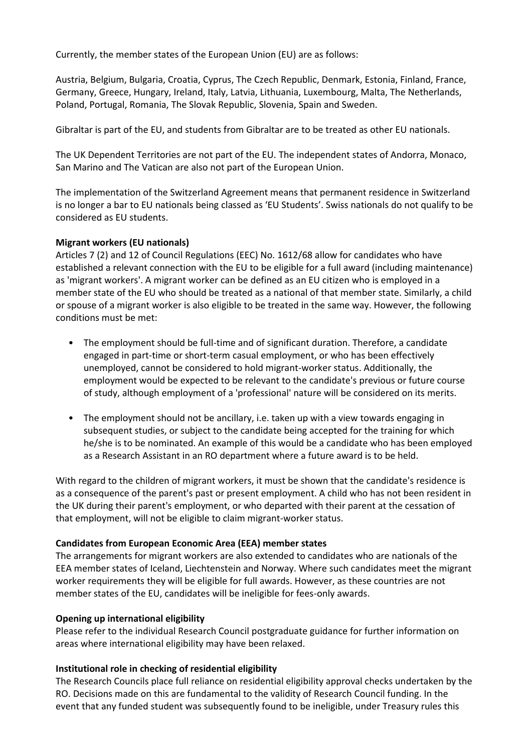Currently, the member states of the European Union (EU) are as follows:

Austria, Belgium, Bulgaria, Croatia, Cyprus, The Czech Republic, Denmark, Estonia, Finland, France, Germany, Greece, Hungary, Ireland, Italy, Latvia, Lithuania, Luxembourg, Malta, The Netherlands, Poland, Portugal, Romania, The Slovak Republic, Slovenia, Spain and Sweden.

Gibraltar is part of the EU, and students from Gibraltar are to be treated as other EU nationals.

The UK Dependent Territories are not part of the EU. The independent states of Andorra, Monaco, San Marino and The Vatican are also not part of the European Union.

The implementation of the Switzerland Agreement means that permanent residence in Switzerland is no longer a bar to EU nationals being classed as 'EU Students'. Swiss nationals do not qualify to be considered as EU students.

#### **Migrant workers (EU nationals)**

Articles 7 (2) and 12 of Council Regulations (EEC) No. 1612/68 allow for candidates who have established a relevant connection with the EU to be eligible for a full award (including maintenance) as 'migrant workers'. A migrant worker can be defined as an EU citizen who is employed in a member state of the EU who should be treated as a national of that member state. Similarly, a child or spouse of a migrant worker is also eligible to be treated in the same way. However, the following conditions must be met:

- The employment should be full-time and of significant duration. Therefore, a candidate engaged in part-time or short-term casual employment, or who has been effectively unemployed, cannot be considered to hold migrant-worker status. Additionally, the employment would be expected to be relevant to the candidate's previous or future course of study, although employment of a 'professional' nature will be considered on its merits.
- The employment should not be ancillary, i.e. taken up with a view towards engaging in subsequent studies, or subject to the candidate being accepted for the training for which he/she is to be nominated. An example of this would be a candidate who has been employed as a Research Assistant in an RO department where a future award is to be held.

With regard to the children of migrant workers, it must be shown that the candidate's residence is as a consequence of the parent's past or present employment. A child who has not been resident in the UK during their parent's employment, or who departed with their parent at the cessation of that employment, will not be eligible to claim migrant-worker status.

#### **Candidates from European Economic Area (EEA) member states**

The arrangements for migrant workers are also extended to candidates who are nationals of the EEA member states of Iceland, Liechtenstein and Norway. Where such candidates meet the migrant worker requirements they will be eligible for full awards. However, as these countries are not member states of the EU, candidates will be ineligible for fees-only awards.

#### **Opening up international eligibility**

Please refer to the individual Research Council postgraduate guidance for further information on areas where international eligibility may have been relaxed.

#### **Institutional role in checking of residential eligibility**

The Research Councils place full reliance on residential eligibility approval checks undertaken by the RO. Decisions made on this are fundamental to the validity of Research Council funding. In the event that any funded student was subsequently found to be ineligible, under Treasury rules this